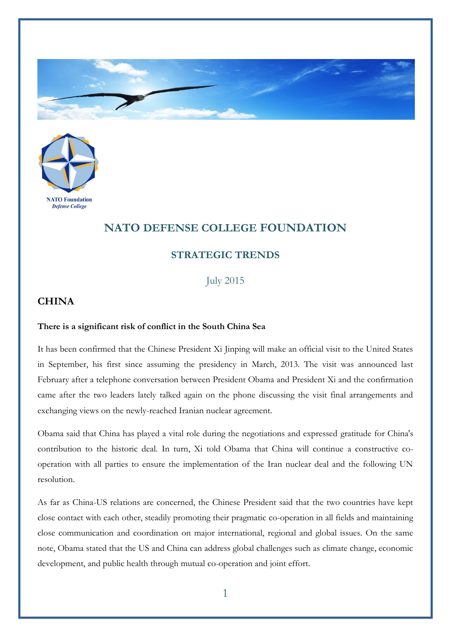



## **NATO DEFENSE COLLEGE FOUNDATION**

## **STRATEGIC TRENDS**

July 2015

## **CHINA**

## **There is a significant risk of conflict in the South China Sea**

It has been confirmed that the Chinese President Xi Jinping will make an official visit to the United States in September, his first since assuming the presidency in March, 2013. The visit was announced last February after a telephone conversation between President Obama and President Xi and the confirmation came after the two leaders lately talked again on the phone discussing the visit final arrangements and exchanging views on the newly-reached Iranian nuclear agreement.

Obama said that China has played a vital role during the negotiations and expressed gratitude for China's contribution to the historic deal. In turn, Xi told Obama that China will continue a constructive cooperation with all parties to ensure the implementation of the Iran nuclear deal and the following UN resolution.

As far as China-US relations are concerned, the Chinese President said that the two countries have kept close contact with each other, steadily promoting their pragmatic co-operation in all fields and maintaining close communication and coordination on major international, regional and global issues. On the same note, Obama stated that the US and China can address global challenges such as climate change, economic development, and public health through mutual co-operation and joint effort.